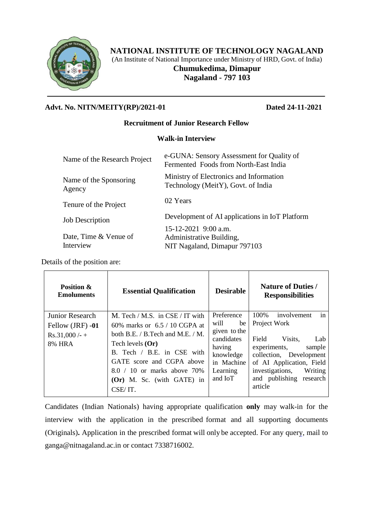

# **NATIONAL INSTITUTE OF TECHNOLOGY NAGALAND**

(An Institute of National Importance under Ministry of HRD, Govt. of India)

**Chumukedima, Dimapur Nagaland - 797 103**

### **Advt. No. NITN/MEITY(RP)/2021-01 Dated 24-11-2021**

#### **Recruitment of Junior Research Fellow**

### **Walk-in Interview**

| Ministry of Electronics and Information<br>Name of the Sponsoring<br>Technology (MeitY), Govt. of India<br>Agency<br>02 Years<br>Tenure of the Project<br>Development of AI applications in IoT Platform<br><b>Job Description</b><br>15-12-2021 9:00 a.m.<br>Date, Time & Venue of<br>Administrative Building,<br>Interview<br>NIT Nagaland, Dimapur 797103 | Name of the Research Project | e-GUNA: Sensory Assessment for Quality of<br>Fermented Foods from North-East India |
|--------------------------------------------------------------------------------------------------------------------------------------------------------------------------------------------------------------------------------------------------------------------------------------------------------------------------------------------------------------|------------------------------|------------------------------------------------------------------------------------|
|                                                                                                                                                                                                                                                                                                                                                              |                              |                                                                                    |
|                                                                                                                                                                                                                                                                                                                                                              |                              |                                                                                    |
|                                                                                                                                                                                                                                                                                                                                                              |                              |                                                                                    |
|                                                                                                                                                                                                                                                                                                                                                              |                              |                                                                                    |

Details of the position are:

| <b>Position &amp;</b><br><b>Emoluments</b>                              | <b>Essential Qualification</b>                                                                                                                                                                                                                                                | <b>Desirable</b>                                                                                                   | <b>Nature of Duties /</b><br><b>Responsibilities</b>                                                                                                                                                                      |
|-------------------------------------------------------------------------|-------------------------------------------------------------------------------------------------------------------------------------------------------------------------------------------------------------------------------------------------------------------------------|--------------------------------------------------------------------------------------------------------------------|---------------------------------------------------------------------------------------------------------------------------------------------------------------------------------------------------------------------------|
| Junior Research<br>Fellow (JRF) -01<br>$Rs.31,000/- +$<br><b>8% HRA</b> | M. Tech / M.S. in $CSE / IT$ with<br>60% marks or $6.5 / 10$ CGPA at<br>both $B.E. / B.$ Tech and M.E. / M.<br>Tech levels ( <b>Or</b> )<br>B. Tech / B.E. in CSE with<br>GATE score and CGPA above<br>$8.0 / 10$ or marks above 70%<br>(Or) M. Sc. (with GATE) in<br>CSE/IT. | Preference<br>will<br>be<br>given to the<br>candidates<br>having<br>knowledge<br>in Machine<br>Learning<br>and IoT | in<br>100%<br>involvement<br>Project Work<br>Field<br>Visits.<br>Lab<br>experiments,<br>sample<br>collection, Development<br>of AI Application, Field<br>investigations,<br>Writing<br>and publishing research<br>article |

Candidates (Indian Nationals) having appropriate qualification **only** may walk-in for the interview with the application in the prescribed format and all supporting documents (Originals)**.** Application in the prescribed format will only be accepted. For any query, mail to ganga@nitnagaland.ac.in or contact 7338716002.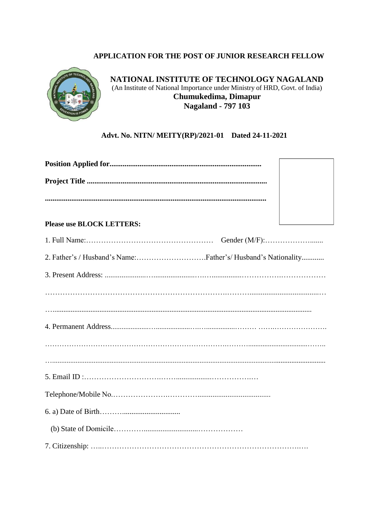## APPLICATION FOR THE POST OF JUNIOR RESEARCH FELLOW



NATIONAL INSTITUTE OF TECHNOLOGY NAGALAND (An Institute of National Importance under Ministry of HRD, Govt. of India) Chumukedima, Dimapur Nagaland - 797 103

### Advt. No. NITN/ MEITY(RP)/2021-01 Dated 24-11-2021

| <b>Please use BLOCK LETTERS:</b> |  |
|----------------------------------|--|
|                                  |  |
|                                  |  |
|                                  |  |
|                                  |  |
|                                  |  |
|                                  |  |
|                                  |  |
|                                  |  |
|                                  |  |
|                                  |  |
|                                  |  |
|                                  |  |
|                                  |  |